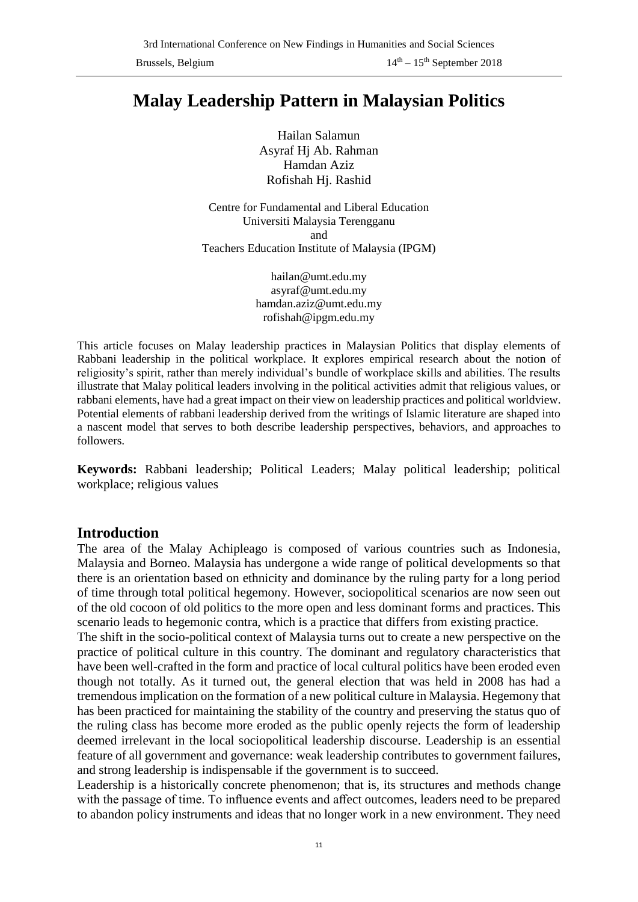# **Malay Leadership Pattern in Malaysian Politics**

Hailan Salamun Asyraf Hj Ab. Rahman Hamdan Aziz Rofishah Hj. Rashid

Centre for Fundamental and Liberal Education Universiti Malaysia Terengganu and Teachers Education Institute of Malaysia (IPGM)

> hailan@umt.edu.my asyraf@umt.edu.my hamdan.aziz@umt.edu.my rofishah@ipgm.edu.my

This article focuses on Malay leadership practices in Malaysian Politics that display elements of Rabbani leadership in the political workplace. It explores empirical research about the notion of religiosity's spirit, rather than merely individual's bundle of workplace skills and abilities. The results illustrate that Malay political leaders involving in the political activities admit that religious values, or rabbani elements, have had a great impact on their view on leadership practices and political worldview. Potential elements of rabbani leadership derived from the writings of Islamic literature are shaped into a nascent model that serves to both describe leadership perspectives, behaviors, and approaches to followers.

**Keywords:** Rabbani leadership; Political Leaders; Malay political leadership; political workplace; religious values

## **Introduction**

The area of the Malay Achipleago is composed of various countries such as Indonesia, Malaysia and Borneo. Malaysia has undergone a wide range of political developments so that there is an orientation based on ethnicity and dominance by the ruling party for a long period of time through total political hegemony. However, sociopolitical scenarios are now seen out of the old cocoon of old politics to the more open and less dominant forms and practices. This scenario leads to hegemonic contra, which is a practice that differs from existing practice.

The shift in the socio-political context of Malaysia turns out to create a new perspective on the practice of political culture in this country. The dominant and regulatory characteristics that have been well-crafted in the form and practice of local cultural politics have been eroded even though not totally. As it turned out, the general election that was held in 2008 has had a tremendous implication on the formation of a new political culture in Malaysia. Hegemony that has been practiced for maintaining the stability of the country and preserving the status quo of the ruling class has become more eroded as the public openly rejects the form of leadership deemed irrelevant in the local sociopolitical leadership discourse. Leadership is an essential feature of all government and governance: weak leadership contributes to government failures, and strong leadership is indispensable if the government is to succeed.

Leadership is a historically concrete phenomenon; that is, its structures and methods change with the passage of time. To influence events and affect outcomes, leaders need to be prepared to abandon policy instruments and ideas that no longer work in a new environment. They need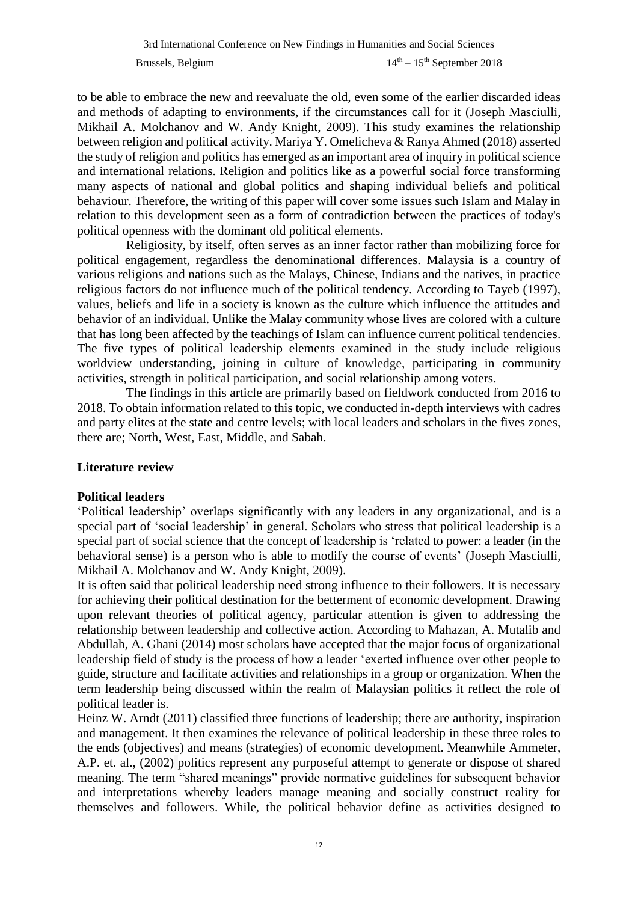to be able to embrace the new and reevaluate the old, even some of the earlier discarded ideas and methods of adapting to environments, if the circumstances call for it (Joseph Masciulli, Mikhail A. Molchanov and W. Andy Knight, 2009). This study examines the relationship between religion and political activity. Mariya Y. Omelicheva & Ranya Ahmed (2018) asserted the study of religion and politics has emerged as an important area of inquiry in political science and international relations. Religion and politics like as a powerful social force transforming many aspects of national and global politics and shaping individual beliefs and political behaviour. Therefore, the writing of this paper will cover some issues such Islam and Malay in relation to this development seen as a form of contradiction between the practices of today's political openness with the dominant old political elements.

Religiosity, by itself, often serves as an inner factor rather than mobilizing force for political engagement, regardless the denominational differences. Malaysia is a country of various religions and nations such as the Malays, Chinese, Indians and the natives, in practice religious factors do not influence much of the political tendency. According to Tayeb (1997), values, beliefs and life in a society is known as the culture which influence the attitudes and behavior of an individual. Unlike the Malay community whose lives are colored with a culture that has long been affected by the teachings of Islam can influence current political tendencies. The five types of political leadership elements examined in the study include religious worldview understanding, joining in culture of knowledge, participating in community activities, strength in political participation, and social relationship among voters.

The findings in this article are primarily based on fieldwork conducted from 2016 to 2018. To obtain information related to this topic, we conducted in-depth interviews with cadres and party elites at the state and centre levels; with local leaders and scholars in the fives zones, there are; North, West, East, Middle, and Sabah.

## **Literature review**

## **Political leaders**

'Political leadership' overlaps significantly with any leaders in any organizational, and is a special part of 'social leadership' in general. Scholars who stress that political leadership is a special part of social science that the concept of leadership is 'related to power: a leader (in the behavioral sense) is a person who is able to modify the course of events' (Joseph Masciulli, Mikhail A. Molchanov and W. Andy Knight, 2009).

It is often said that political leadership need strong influence to their followers. It is necessary for achieving their political destination for the betterment of economic development. Drawing upon relevant theories of political agency, particular attention is given to addressing the relationship between leadership and collective action. According to Mahazan, A. Mutalib and Abdullah, A. Ghani (2014) most scholars have accepted that the major focus of organizational leadership field of study is the process of how a leader 'exerted influence over other people to guide, structure and facilitate activities and relationships in a group or organization. When the term leadership being discussed within the realm of Malaysian politics it reflect the role of political leader is.

[Heinz W. Arndt](https://www.tandfonline.com/author/Arndt%2C+Heinz+W) (2011) classified three functions of leadership; there are authority, inspiration and management. It then examines the relevance of political leadership in these three roles to the ends (objectives) and means (strategies) of economic development. Meanwhile Ammeter, A.P. et. al., (2002) politics represent any purposeful attempt to generate or dispose of shared meaning. The term "shared meanings" provide normative guidelines for subsequent behavior and interpretations whereby leaders manage meaning and socially construct reality for themselves and followers. While, the political behavior define as activities designed to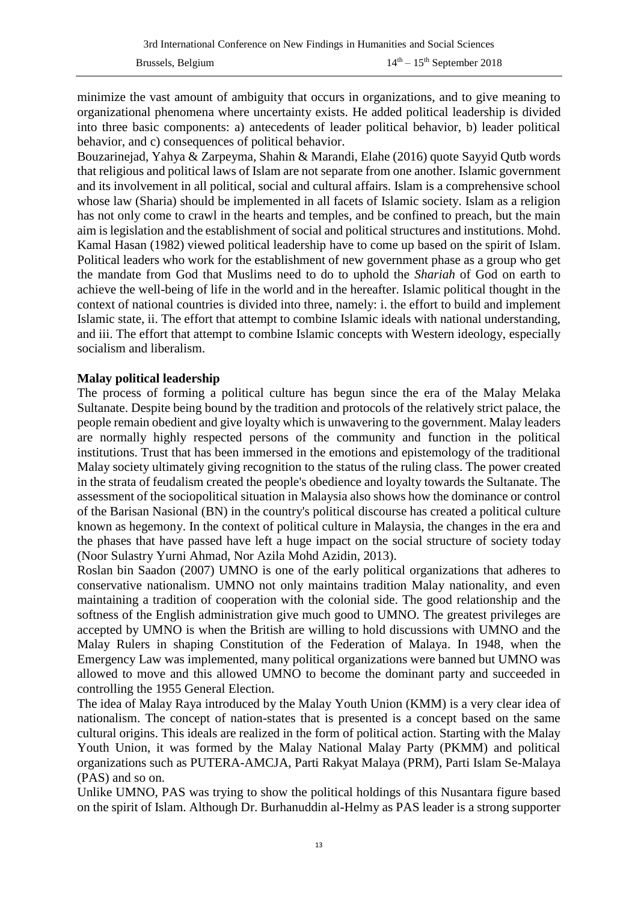minimize the vast amount of ambiguity that occurs in organizations, and to give meaning to organizational phenomena where uncertainty exists. He added political leadership is divided into three basic components: a) antecedents of leader political behavior, b) leader political behavior, and c) consequences of political behavior.

Bouzarinejad, Yahya & Zarpeyma, Shahin & Marandi, Elahe (2016) quote Sayyid Qutb words that religious and political laws of Islam are not separate from one another. Islamic government and its involvement in all political, social and cultural affairs. Islam is a comprehensive school whose law (Sharia) should be implemented in all facets of Islamic society. Islam as a religion has not only come to crawl in the hearts and temples, and be confined to preach, but the main aim is legislation and the establishment of social and political structures and institutions. Mohd. Kamal Hasan (1982) viewed political leadership have to come up based on the spirit of Islam. Political leaders who work for the establishment of new government phase as a group who get the mandate from God that Muslims need to do to uphold the *Shariah* of God on earth to achieve the well-being of life in the world and in the hereafter. Islamic political thought in the context of national countries is divided into three, namely: i. the effort to build and implement Islamic state, ii. The effort that attempt to combine Islamic ideals with national understanding, and iii. The effort that attempt to combine Islamic concepts with Western ideology, especially socialism and liberalism.

#### **Malay political leadership**

The process of forming a political culture has begun since the era of the Malay Melaka Sultanate. Despite being bound by the tradition and protocols of the relatively strict palace, the people remain obedient and give loyalty which is unwavering to the government. Malay leaders are normally highly respected persons of the community and function in the political institutions. Trust that has been immersed in the emotions and epistemology of the traditional Malay society ultimately giving recognition to the status of the ruling class. The power created in the strata of feudalism created the people's obedience and loyalty towards the Sultanate. The assessment of the sociopolitical situation in Malaysia also shows how the dominance or control of the Barisan Nasional (BN) in the country's political discourse has created a political culture known as hegemony. In the context of political culture in Malaysia, the changes in the era and the phases that have passed have left a huge impact on the social structure of society today (Noor Sulastry Yurni Ahmad, Nor Azila Mohd Azidin, 2013).

Roslan bin Saadon (2007) UMNO is one of the early political organizations that adheres to conservative nationalism. UMNO not only maintains tradition Malay nationality, and even maintaining a tradition of cooperation with the colonial side. The good relationship and the softness of the English administration give much good to UMNO. The greatest privileges are accepted by UMNO is when the British are willing to hold discussions with UMNO and the Malay Rulers in shaping Constitution of the Federation of Malaya. In 1948, when the Emergency Law was implemented, many political organizations were banned but UMNO was allowed to move and this allowed UMNO to become the dominant party and succeeded in controlling the 1955 General Election.

The idea of Malay Raya introduced by the Malay Youth Union (KMM) is a very clear idea of nationalism. The concept of nation-states that is presented is a concept based on the same cultural origins. This ideals are realized in the form of political action. Starting with the Malay Youth Union, it was formed by the Malay National Malay Party (PKMM) and political organizations such as PUTERA-AMCJA, Parti Rakyat Malaya (PRM), Parti Islam Se-Malaya (PAS) and so on.

Unlike UMNO, PAS was trying to show the political holdings of this Nusantara figure based on the spirit of Islam. Although Dr. Burhanuddin al-Helmy as PAS leader is a strong supporter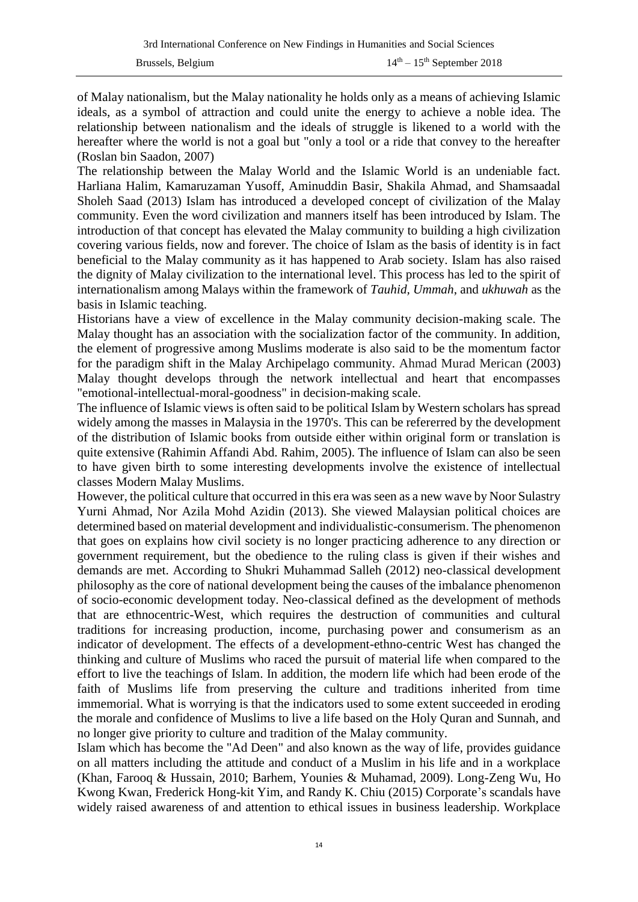of Malay nationalism, but the Malay nationality he holds only as a means of achieving Islamic ideals, as a symbol of attraction and could unite the energy to achieve a noble idea. The relationship between nationalism and the ideals of struggle is likened to a world with the hereafter where the world is not a goal but "only a tool or a ride that convey to the hereafter (Roslan bin Saadon, 2007)

The relationship between the Malay World and the Islamic World is an undeniable fact. Harliana Halim, Kamaruzaman Yusoff, Aminuddin Basir, Shakila Ahmad, and Shamsaadal Sholeh Saad (2013) Islam has introduced a developed concept of civilization of the Malay community. Even the word civilization and manners itself has been introduced by Islam. The introduction of that concept has elevated the Malay community to building a high civilization covering various fields, now and forever. The choice of Islam as the basis of identity is in fact beneficial to the Malay community as it has happened to Arab society. Islam has also raised the dignity of Malay civilization to the international level. This process has led to the spirit of internationalism among Malays within the framework of *Tauhid, Ummah*, and *ukhuwah* as the basis in Islamic teaching.

Historians have a view of excellence in the Malay community decision-making scale. The Malay thought has an association with the socialization factor of the community. In addition, the element of progressive among Muslims moderate is also said to be the momentum factor for the paradigm shift in the Malay Archipelago community. Ahmad Murad Merican (2003) Malay thought develops through the network intellectual and heart that encompasses "emotional-intellectual-moral-goodness" in decision-making scale.

The influence of Islamic views is often said to be political Islam by Western scholars has spread widely among the masses in Malaysia in the 1970's. This can be refererred by the development of the distribution of Islamic books from outside either within original form or translation is quite extensive (Rahimin Affandi Abd. Rahim, 2005). The influence of Islam can also be seen to have given birth to some interesting developments involve the existence of intellectual classes Modern Malay Muslims.

However, the political culture that occurred in this era was seen as a new wave by Noor Sulastry Yurni Ahmad, Nor Azila Mohd Azidin (2013). She viewed Malaysian political choices are determined based on material development and individualistic-consumerism. The phenomenon that goes on explains how civil society is no longer practicing adherence to any direction or government requirement, but the obedience to the ruling class is given if their wishes and demands are met. According to Shukri Muhammad Salleh (2012) neo-classical development philosophy as the core of national development being the causes of the imbalance phenomenon of socio-economic development today. Neo-classical defined as the development of methods that are ethnocentric-West, which requires the destruction of communities and cultural traditions for increasing production, income, purchasing power and consumerism as an indicator of development. The effects of a development-ethno-centric West has changed the thinking and culture of Muslims who raced the pursuit of material life when compared to the effort to live the teachings of Islam. In addition, the modern life which had been erode of the faith of Muslims life from preserving the culture and traditions inherited from time immemorial. What is worrying is that the indicators used to some extent succeeded in eroding the morale and confidence of Muslims to live a life based on the Holy Quran and Sunnah, and no longer give priority to culture and tradition of the Malay community.

Islam which has become the "Ad Deen" and also known as the way of life, provides guidance on all matters including the attitude and conduct of a Muslim in his life and in a workplace (Khan, Farooq & Hussain, 2010; Barhem, Younies & Muhamad, 2009). Long-Zeng Wu, Ho Kwong Kwan, Frederick Hong-kit Yim, and Randy K. Chiu (2015) Corporate's scandals have widely raised awareness of and attention to ethical issues in business leadership. Workplace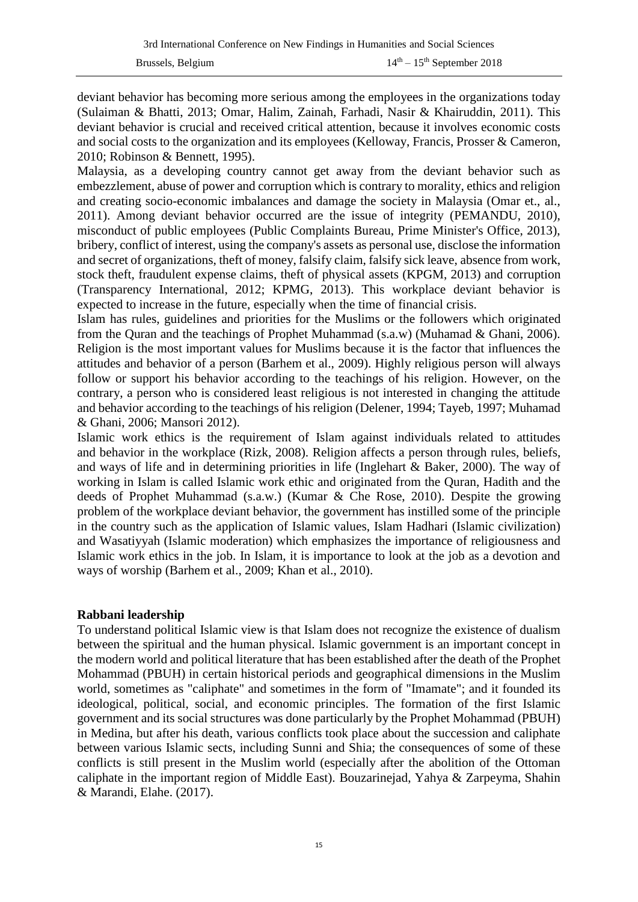deviant behavior has becoming more serious among the employees in the organizations today (Sulaiman & Bhatti, 2013; Omar, Halim, Zainah, Farhadi, Nasir & Khairuddin, 2011). This deviant behavior is crucial and received critical attention, because it involves economic costs and social costs to the organization and its employees (Kelloway, Francis, Prosser & Cameron, 2010; Robinson & Bennett, 1995).

Malaysia, as a developing country cannot get away from the deviant behavior such as embezzlement, abuse of power and corruption which is contrary to morality, ethics and religion and creating socio-economic imbalances and damage the society in Malaysia (Omar et., al., 2011). Among deviant behavior occurred are the issue of integrity (PEMANDU, 2010), misconduct of public employees (Public Complaints Bureau, Prime Minister's Office, 2013), bribery, conflict of interest, using the company's assets as personal use, disclose the information and secret of organizations, theft of money, falsify claim, falsify sick leave, absence from work, stock theft, fraudulent expense claims, theft of physical assets (KPGM, 2013) and corruption (Transparency International, 2012; KPMG, 2013). This workplace deviant behavior is expected to increase in the future, especially when the time of financial crisis.

Islam has rules, guidelines and priorities for the Muslims or the followers which originated from the Quran and the teachings of Prophet Muhammad (s.a.w) (Muhamad & Ghani, 2006). Religion is the most important values for Muslims because it is the factor that influences the attitudes and behavior of a person (Barhem et al., 2009). Highly religious person will always follow or support his behavior according to the teachings of his religion. However, on the contrary, a person who is considered least religious is not interested in changing the attitude and behavior according to the teachings of his religion (Delener, 1994; Tayeb, 1997; Muhamad & Ghani, 2006; Mansori 2012).

Islamic work ethics is the requirement of Islam against individuals related to attitudes and behavior in the workplace (Rizk, 2008). Religion affects a person through rules, beliefs, and ways of life and in determining priorities in life (Inglehart & Baker, 2000). The way of working in Islam is called Islamic work ethic and originated from the Quran, Hadith and the deeds of Prophet Muhammad (s.a.w.) (Kumar & Che Rose, 2010). Despite the growing problem of the workplace deviant behavior, the government has instilled some of the principle in the country such as the application of Islamic values, Islam Hadhari (Islamic civilization) and Wasatiyyah (Islamic moderation) which emphasizes the importance of religiousness and Islamic work ethics in the job. In Islam, it is importance to look at the job as a devotion and ways of worship (Barhem et al., 2009; Khan et al., 2010).

#### **Rabbani leadership**

To understand political Islamic view is that Islam does not recognize the existence of dualism between the spiritual and the human physical. Islamic government is an important concept in the modern world and political literature that has been established after the death of the Prophet Mohammad (PBUH) in certain historical periods and geographical dimensions in the Muslim world, sometimes as "caliphate" and sometimes in the form of "Imamate"; and it founded its ideological, political, social, and economic principles. The formation of the first Islamic government and its social structures was done particularly by the Prophet Mohammad (PBUH) in Medina, but after his death, various conflicts took place about the succession and caliphate between various Islamic sects, including Sunni and Shia; the consequences of some of these conflicts is still present in the Muslim world (especially after the abolition of the Ottoman caliphate in the important region of Middle East). Bouzarinejad, Yahya & Zarpeyma, Shahin & Marandi, Elahe. (2017).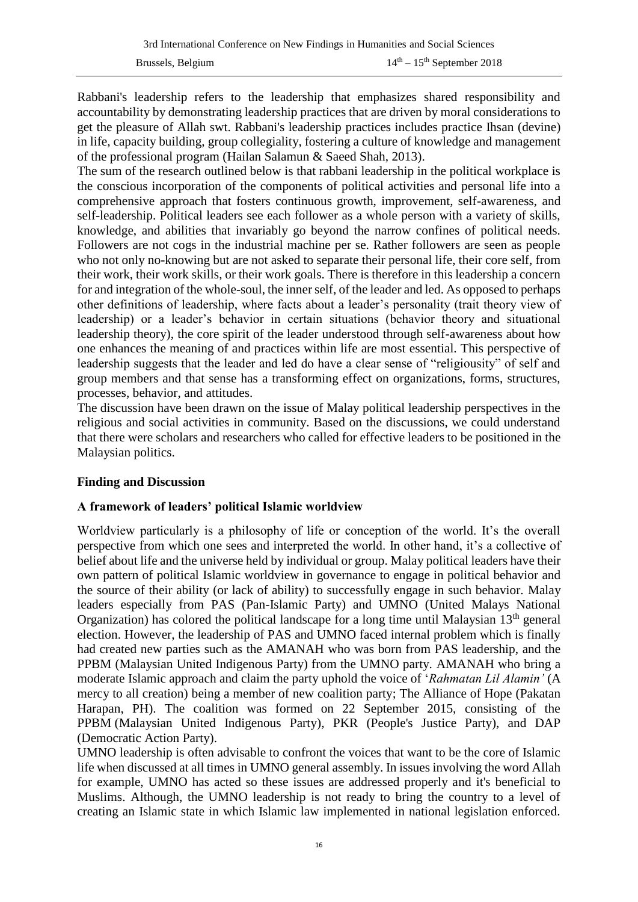Rabbani's leadership refers to the leadership that emphasizes shared responsibility and accountability by demonstrating leadership practices that are driven by moral considerations to get the pleasure of Allah swt. Rabbani's leadership practices includes practice Ihsan (devine) in life, capacity building, group collegiality, fostering a culture of knowledge and management of the professional program (Hailan Salamun & Saeed Shah, 2013).

The sum of the research outlined below is that rabbani leadership in the political workplace is the conscious incorporation of the components of political activities and personal life into a comprehensive approach that fosters continuous growth, improvement, self-awareness, and self-leadership. Political leaders see each follower as a whole person with a variety of skills, knowledge, and abilities that invariably go beyond the narrow confines of political needs. Followers are not cogs in the industrial machine per se. Rather followers are seen as people who not only no-knowing but are not asked to separate their personal life, their core self, from their work, their work skills, or their work goals. There is therefore in this leadership a concern for and integration of the whole-soul, the inner self, of the leader and led. As opposed to perhaps other definitions of leadership, where facts about a leader's personality (trait theory view of leadership) or a leader's behavior in certain situations (behavior theory and situational leadership theory), the core spirit of the leader understood through self-awareness about how one enhances the meaning of and practices within life are most essential. This perspective of leadership suggests that the leader and led do have a clear sense of "religiousity" of self and group members and that sense has a transforming effect on organizations, forms, structures, processes, behavior, and attitudes.

The discussion have been drawn on the issue of Malay political leadership perspectives in the religious and social activities in community. Based on the discussions, we could understand that there were scholars and researchers who called for effective leaders to be positioned in the Malaysian politics.

## **Finding and Discussion**

## **A framework of leaders' political Islamic worldview**

Worldview particularly is a philosophy of life or conception of the world. It's the overall perspective from which one sees and interpreted the world. In other hand, it's a collective of belief about life and the universe held by individual or group. Malay political leaders have their own pattern of political Islamic worldview in governance to engage in political behavior and the source of their ability (or lack of ability) to successfully engage in such behavior. Malay leaders especially from PAS (Pan-Islamic Party) and UMNO (United Malays National Organization) has colored the political landscape for a long time until Malaysian  $13<sup>th</sup>$  general election. However, the leadership of PAS and UMNO faced internal problem which is finally had created new parties such as the AMANAH who was born from PAS leadership, and the PPBM (Malaysian United Indigenous Party) from the UMNO party. AMANAH who bring a moderate Islamic approach and claim the party uphold the voice of '*Rahmatan Lil Alamin'* (A mercy to all creation) being a member of new coalition party; The Alliance of Hope (Pakatan Harapan, PH). The coalition was formed on 22 September 2015, consisting of the PPBM [\(Malaysian United Indigenous Party\)](https://en.wikipedia.org/wiki/Malaysian_United_Indigenous_Party), PKR [\(People's Justice Party\)](https://en.wikipedia.org/wiki/People%27s_Justice_Party_(Malaysia)), and DAP (Democratic Action Party).

UMNO leadership is often advisable to confront the voices that want to be the core of Islamic life when discussed at all times in UMNO general assembly. In issues involving the word Allah for example, UMNO has acted so these issues are addressed properly and it's beneficial to Muslims. Although, the UMNO leadership is not ready to bring the country to a level of creating an Islamic state in which Islamic law implemented in national legislation enforced.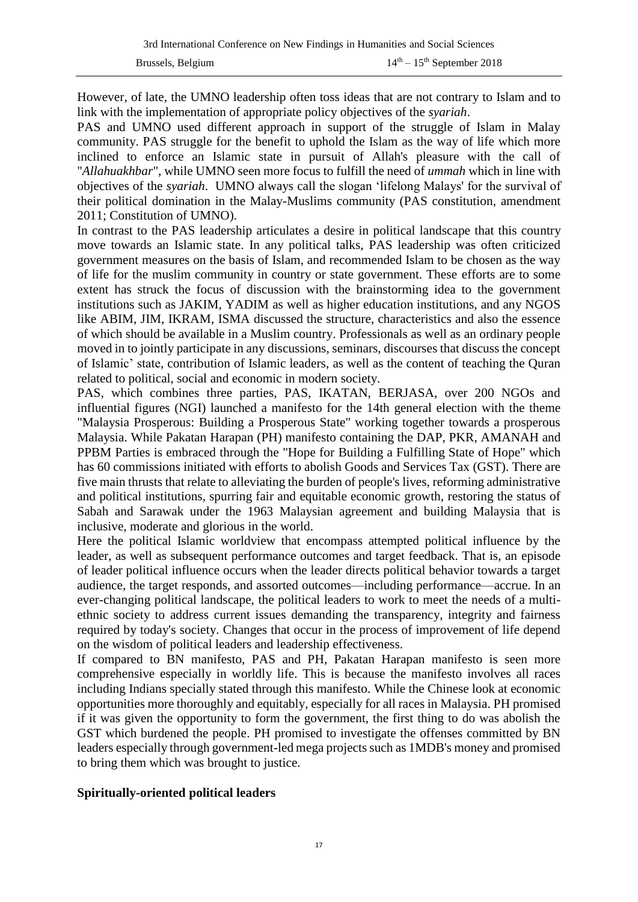However, of late, the UMNO leadership often toss ideas that are not contrary to Islam and to link with the implementation of appropriate policy objectives of the *syariah*.

PAS and UMNO used different approach in support of the struggle of Islam in Malay community. PAS struggle for the benefit to uphold the Islam as the way of life which more inclined to enforce an Islamic state in pursuit of Allah's pleasure with the call of "*Allahuakhbar*", while UMNO seen more focus to fulfill the need of *ummah* which in line with objectives of the *syariah*. UMNO always call the slogan 'lifelong Malays' for the survival of their political domination in the Malay-Muslims community (PAS constitution, amendment 2011; Constitution of UMNO).

In contrast to the PAS leadership articulates a desire in political landscape that this country move towards an Islamic state. In any political talks, PAS leadership was often criticized government measures on the basis of Islam, and recommended Islam to be chosen as the way of life for the muslim community in country or state government. These efforts are to some extent has struck the focus of discussion with the brainstorming idea to the government institutions such as JAKIM, YADIM as well as higher education institutions, and any NGOS like ABIM, JIM, IKRAM, ISMA discussed the structure, characteristics and also the essence of which should be available in a Muslim country. Professionals as well as an ordinary people moved in to jointly participate in any discussions, seminars, discourses that discuss the concept of Islamic' state, contribution of Islamic leaders, as well as the content of teaching the Quran related to political, social and economic in modern society.

PAS, which combines three parties, PAS, IKATAN, BERJASA, over 200 NGOs and influential figures (NGI) launched a manifesto for the 14th general election with the theme "Malaysia Prosperous: Building a Prosperous State" working together towards a prosperous Malaysia. While Pakatan Harapan (PH) manifesto containing the DAP, PKR, AMANAH and PPBM Parties is embraced through the "Hope for Building a Fulfilling State of Hope" which has 60 commissions initiated with efforts to abolish Goods and Services Tax (GST). There are five main thrusts that relate to alleviating the burden of people's lives, reforming administrative and political institutions, spurring fair and equitable economic growth, restoring the status of Sabah and Sarawak under the 1963 Malaysian agreement and building Malaysia that is inclusive, moderate and glorious in the world.

Here the political Islamic worldview that encompass attempted political influence by the leader, as well as subsequent performance outcomes and target feedback. That is, an episode of leader political influence occurs when the leader directs political behavior towards a target audience, the target responds, and assorted outcomes—including performance—accrue. In an ever-changing political landscape, the political leaders to work to meet the needs of a multiethnic society to address current issues demanding the transparency, integrity and fairness required by today's society. Changes that occur in the process of improvement of life depend on the wisdom of political leaders and leadership effectiveness.

If compared to BN manifesto, PAS and PH, Pakatan Harapan manifesto is seen more comprehensive especially in worldly life. This is because the manifesto involves all races including Indians specially stated through this manifesto. While the Chinese look at economic opportunities more thoroughly and equitably, especially for all races in Malaysia. PH promised if it was given the opportunity to form the government, the first thing to do was abolish the GST which burdened the people. PH promised to investigate the offenses committed by BN leaders especially through government-led mega projects such as 1MDB's money and promised to bring them which was brought to justice.

## **Spiritually-oriented political leaders**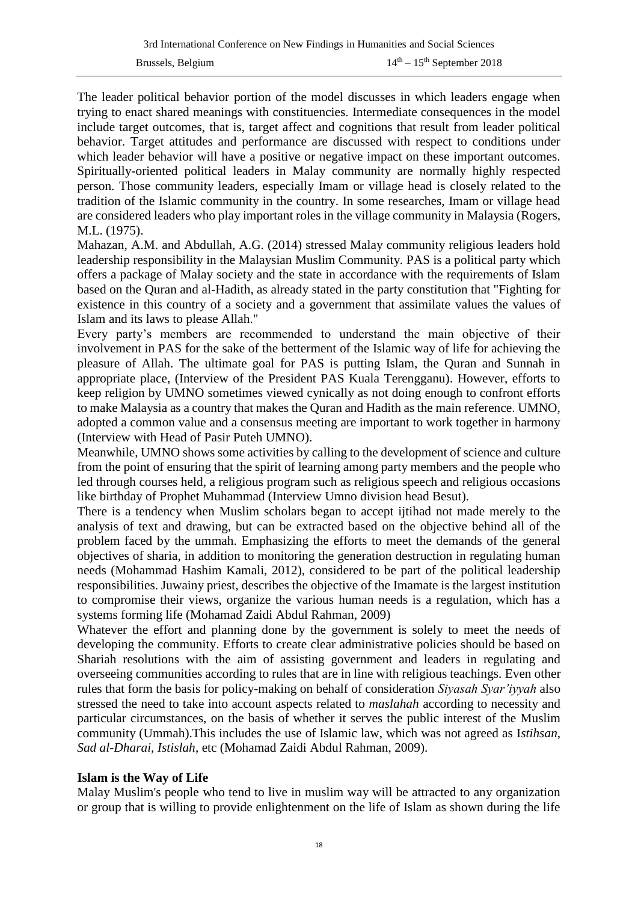The leader political behavior portion of the model discusses in which leaders engage when trying to enact shared meanings with constituencies. Intermediate consequences in the model include target outcomes, that is, target affect and cognitions that result from leader political behavior. Target attitudes and performance are discussed with respect to conditions under which leader behavior will have a positive or negative impact on these important outcomes. Spiritually-oriented political leaders in Malay community are normally highly respected person. Those community leaders, especially Imam or village head is closely related to the tradition of the Islamic community in the country. In some researches, Imam or village head are considered leaders who play important roles in the village community in Malaysia (Rogers, M.L. (1975).

Mahazan, A.M. and Abdullah, A.G. (2014) stressed Malay community religious leaders hold leadership responsibility in the Malaysian Muslim Community. PAS is a political party which offers a package of Malay society and the state in accordance with the requirements of Islam based on the Quran and al-Hadith, as already stated in the party constitution that "Fighting for existence in this country of a society and a government that assimilate values the values of Islam and its laws to please Allah."

Every party's members are recommended to understand the main objective of their involvement in PAS for the sake of the betterment of the Islamic way of life for achieving the pleasure of Allah. The ultimate goal for PAS is putting Islam, the Quran and Sunnah in appropriate place, (Interview of the President PAS Kuala Terengganu). However, efforts to keep religion by UMNO sometimes viewed cynically as not doing enough to confront efforts to make Malaysia as a country that makes the Quran and Hadith as the main reference. UMNO, adopted a common value and a consensus meeting are important to work together in harmony (Interview with Head of Pasir Puteh UMNO).

Meanwhile, UMNO shows some activities by calling to the development of science and culture from the point of ensuring that the spirit of learning among party members and the people who led through courses held, a religious program such as religious speech and religious occasions like birthday of Prophet Muhammad (Interview Umno division head Besut).

There is a tendency when Muslim scholars began to accept ijtihad not made merely to the analysis of text and drawing, but can be extracted based on the objective behind all of the problem faced by the ummah. Emphasizing the efforts to meet the demands of the general objectives of sharia, in addition to monitoring the generation destruction in regulating human needs (Mohammad Hashim Kamali, 2012), considered to be part of the political leadership responsibilities. Juwainy priest, describes the objective of the Imamate is the largest institution to compromise their views, organize the various human needs is a regulation, which has a systems forming life (Mohamad Zaidi Abdul Rahman, 2009)

Whatever the effort and planning done by the government is solely to meet the needs of developing the community. Efforts to create clear administrative policies should be based on Shariah resolutions with the aim of assisting government and leaders in regulating and overseeing communities according to rules that are in line with religious teachings. Even other rules that form the basis for policy-making on behalf of consideration *Siyasah Syar'iyyah* also stressed the need to take into account aspects related to *maslahah* according to necessity and particular circumstances, on the basis of whether it serves the public interest of the Muslim community (Ummah).This includes the use of Islamic law, which was not agreed as I*stihsan, Sad al-Dharai, Istislah*, etc (Mohamad Zaidi Abdul Rahman, 2009).

## **Islam is the Way of Life**

Malay Muslim's people who tend to live in muslim way will be attracted to any organization or group that is willing to provide enlightenment on the life of Islam as shown during the life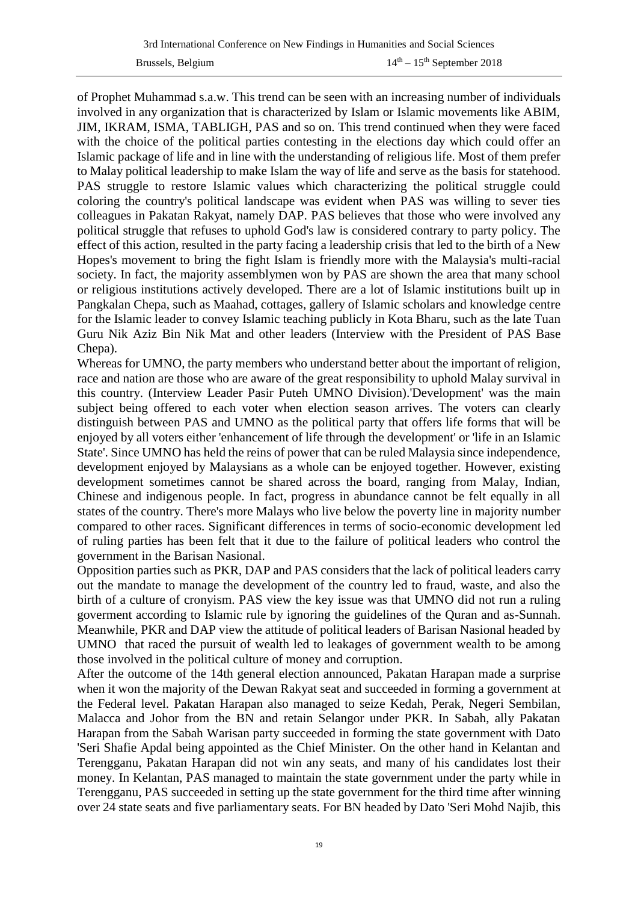of Prophet Muhammad s.a.w. This trend can be seen with an increasing number of individuals involved in any organization that is characterized by Islam or Islamic movements like ABIM, JIM, IKRAM, ISMA, TABLIGH, PAS and so on. This trend continued when they were faced with the choice of the political parties contesting in the elections day which could offer an Islamic package of life and in line with the understanding of religious life. Most of them prefer to Malay political leadership to make Islam the way of life and serve as the basis for statehood. PAS struggle to restore Islamic values which characterizing the political struggle could coloring the country's political landscape was evident when PAS was willing to sever ties colleagues in Pakatan Rakyat, namely DAP. PAS believes that those who were involved any political struggle that refuses to uphold God's law is considered contrary to party policy. The effect of this action, resulted in the party facing a leadership crisis that led to the birth of a New Hopes's movement to bring the fight Islam is friendly more with the Malaysia's multi-racial society. In fact, the majority assemblymen won by PAS are shown the area that many school or religious institutions actively developed. There are a lot of Islamic institutions built up in Pangkalan Chepa, such as Maahad, cottages, gallery of Islamic scholars and knowledge centre for the Islamic leader to convey Islamic teaching publicly in Kota Bharu, such as the late Tuan Guru Nik Aziz Bin Nik Mat and other leaders (Interview with the President of PAS Base Chepa).

Whereas for UMNO, the party members who understand better about the important of religion, race and nation are those who are aware of the great responsibility to uphold Malay survival in this country. (Interview Leader Pasir Puteh UMNO Division).'Development' was the main subject being offered to each voter when election season arrives. The voters can clearly distinguish between PAS and UMNO as the political party that offers life forms that will be enjoyed by all voters either 'enhancement of life through the development' or 'life in an Islamic State'. Since UMNO has held the reins of power that can be ruled Malaysia since independence, development enjoyed by Malaysians as a whole can be enjoyed together. However, existing development sometimes cannot be shared across the board, ranging from Malay, Indian, Chinese and indigenous people. In fact, progress in abundance cannot be felt equally in all states of the country. There's more Malays who live below the poverty line in majority number compared to other races. Significant differences in terms of socio-economic development led of ruling parties has been felt that it due to the failure of political leaders who control the government in the Barisan Nasional.

Opposition parties such as PKR, DAP and PAS considers that the lack of political leaders carry out the mandate to manage the development of the country led to fraud, waste, and also the birth of a culture of cronyism. PAS view the key issue was that UMNO did not run a ruling goverment according to Islamic rule by ignoring the guidelines of the Quran and as-Sunnah. Meanwhile, PKR and DAP view the attitude of political leaders of Barisan Nasional headed by UMNO that raced the pursuit of wealth led to leakages of government wealth to be among those involved in the political culture of money and corruption.

After the outcome of the 14th general election announced, Pakatan Harapan made a surprise when it won the majority of the Dewan Rakyat seat and succeeded in forming a government at the Federal level. Pakatan Harapan also managed to seize Kedah, Perak, Negeri Sembilan, Malacca and Johor from the BN and retain Selangor under PKR. In Sabah, ally Pakatan Harapan from the Sabah Warisan party succeeded in forming the state government with Dato 'Seri Shafie Apdal being appointed as the Chief Minister. On the other hand in Kelantan and Terengganu, Pakatan Harapan did not win any seats, and many of his candidates lost their money. In Kelantan, PAS managed to maintain the state government under the party while in Terengganu, PAS succeeded in setting up the state government for the third time after winning over 24 state seats and five parliamentary seats. For BN headed by Dato 'Seri Mohd Najib, this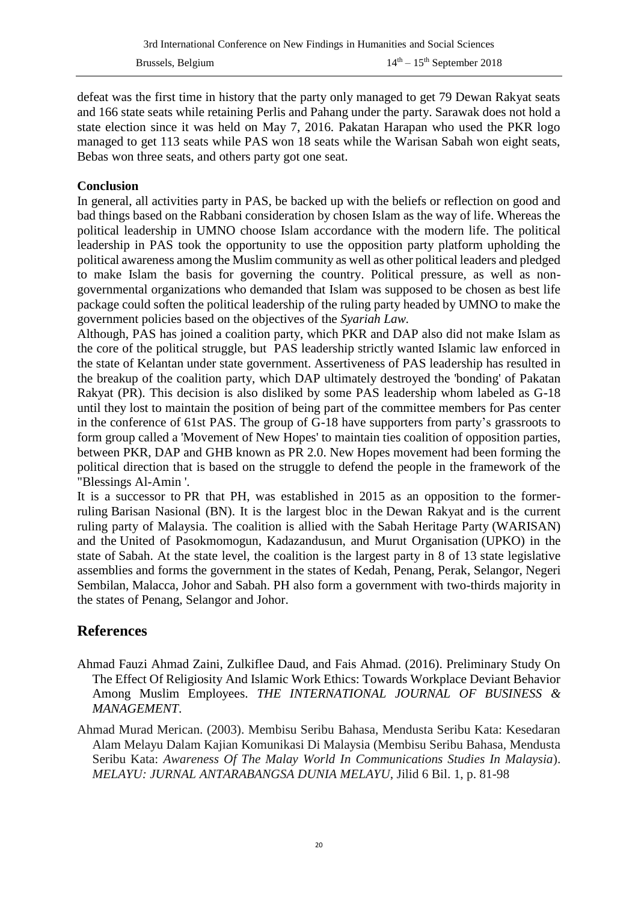defeat was the first time in history that the party only managed to get 79 Dewan Rakyat seats and 166 state seats while retaining Perlis and Pahang under the party. Sarawak does not hold a state election since it was held on May 7, 2016. Pakatan Harapan who used the PKR logo managed to get 113 seats while PAS won 18 seats while the Warisan Sabah won eight seats, Bebas won three seats, and others party got one seat.

#### **Conclusion**

In general, all activities party in PAS, be backed up with the beliefs or reflection on good and bad things based on the Rabbani consideration by chosen Islam as the way of life. Whereas the political leadership in UMNO choose Islam accordance with the modern life. The political leadership in PAS took the opportunity to use the opposition party platform upholding the political awareness among the Muslim community as well as other political leaders and pledged to make Islam the basis for governing the country. Political pressure, as well as nongovernmental organizations who demanded that Islam was supposed to be chosen as best life package could soften the political leadership of the ruling party headed by UMNO to make the government policies based on the objectives of the *Syariah Law.*

Although, PAS has joined a coalition party, which PKR and DAP also did not make Islam as the core of the political struggle, but PAS leadership strictly wanted Islamic law enforced in the state of Kelantan under state government. Assertiveness of PAS leadership has resulted in the breakup of the coalition party, which DAP ultimately destroyed the 'bonding' of Pakatan Rakyat (PR). This decision is also disliked by some PAS leadership whom labeled as G-18 until they lost to maintain the position of being part of the committee members for Pas center in the conference of 61st PAS. The group of G-18 have supporters from party's grassroots to form group called a 'Movement of New Hopes' to maintain ties coalition of opposition parties, between PKR, DAP and GHB known as PR 2.0. New Hopes movement had been forming the political direction that is based on the struggle to defend the people in the framework of the "Blessings Al-Amin '.

It is a successor to [PR t](https://en.wikipedia.org/wiki/Pakatan_Rakyat)hat PH, was established in 2015 as an opposition to the formerruling [Barisan Nasional](https://en.wikipedia.org/wiki/Barisan_Nasional) (BN). It is the largest bloc in the [Dewan Rakyat](https://en.wikipedia.org/wiki/Dewan_Rakyat) and is the current ruling party of Malaysia. The coalition is allied with the [Sabah Heritage Party](https://en.wikipedia.org/wiki/Sabah_Heritage_Party) (WARISAN) and the [United of Pasokmomogun,](https://en.wikipedia.org/wiki/United_Pasokmomogun_Kadazandusun_Murut_Organisation) Kadazandusun, and Murut Organisation (UPKO) in the state of [Sabah.](https://en.wikipedia.org/wiki/Sabah) At the state level, the coalition is the largest party in 8 of 13 [state legislative](https://en.wikipedia.org/wiki/State_legislative_assemblies_of_Malaysia)  [assemblies](https://en.wikipedia.org/wiki/State_legislative_assemblies_of_Malaysia) and forms the government in the states of [Kedah,](https://en.wikipedia.org/wiki/Kedah) [Penang,](https://en.wikipedia.org/wiki/Penang) [Perak,](https://en.wikipedia.org/wiki/Perak) [Selangor,](https://en.wikipedia.org/wiki/Selangor) [Negeri](https://en.wikipedia.org/wiki/Negeri_Sembilan)  [Sembilan,](https://en.wikipedia.org/wiki/Negeri_Sembilan) [Malacca,](https://en.wikipedia.org/wiki/Malacca) [Johor](https://en.wikipedia.org/wiki/Johor) and [Sabah.](https://en.wikipedia.org/wiki/Sabah) PH also form a government with two-thirds majority in the states of [Penang,](https://en.wikipedia.org/wiki/Penang) [Selangor](https://en.wikipedia.org/wiki/Selangor) and [Johor.](https://en.wikipedia.org/wiki/Johor)

# **References**

- Ahmad Fauzi Ahmad Zaini, Zulkiflee Daud, and Fais Ahmad. (2016). Preliminary Study On The Effect Of Religiosity And Islamic Work Ethics: Towards Workplace Deviant Behavior Among Muslim Employees. *THE INTERNATIONAL JOURNAL OF BUSINESS & MANAGEMENT*.
- Ahmad Murad Merican. (2003). Membisu Seribu Bahasa, Mendusta Seribu Kata: Kesedaran Alam Melayu Dalam Kajian Komunikasi Di Malaysia (Membisu Seribu Bahasa, Mendusta Seribu Kata: *Awareness Of The Malay World In Communications Studies In Malaysia*). *MELAYU: JURNAL ANTARABANGSA DUNIA MELAYU*, Jilid 6 Bil. 1, p. 81-98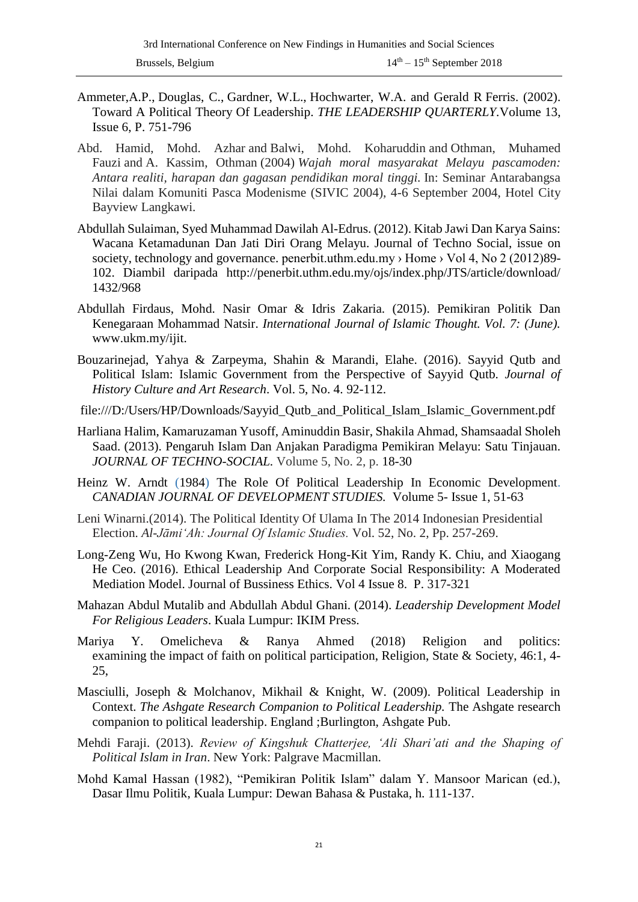- Ammeter,A.P., Douglas, C., Gardner, W.L., Hochwarter, W.A. and Gerald R Ferris. (2002). Toward A Political Theory Of Leadership. *[THE LEADERSHIP QUARTERLY.](https://www.sciencedirect.com/science/journal/10489843)*[Volume 13,](https://www.sciencedirect.com/science/journal/10489843/13/6)  [Issue 6,](https://www.sciencedirect.com/science/journal/10489843/13/6) P. 751-796
- Abd. Hamid, Mohd. Azhar and Balwi, Mohd. Koharuddin and Othman, Muhamed Fauzi and A. Kassim, Othman (2004) *Wajah moral masyarakat Melayu pascamoden: Antara realiti, harapan dan gagasan pendidikan moral tinggi.* In: Seminar Antarabangsa Nilai dalam Komuniti Pasca Modenisme (SIVIC 2004), 4-6 September 2004, Hotel City Bayview Langkawi.
- Abdullah Sulaiman, Syed Muhammad Dawilah Al-Edrus. (2012). Kitab Jawi Dan Karya Sains: Wacana Ketamadunan Dan Jati Diri Orang Melayu. Journal of Techno Social, issue on society, technology and governance. penerbit.uthm.edu.my > Home > Vol 4, No 2 (2012)89-102. Diambil daripada http://penerbit.uthm.edu.my/ojs/index.php/JTS/article/download/ 1432/968
- Abdullah Firdaus, Mohd. Nasir Omar & Idris Zakaria. (2015). Pemikiran Politik Dan Kenegaraan Mohammad Natsir. *International Journal of Islamic Thought. Vol. 7: (June).*  www.ukm.my/ijit.
- Bouzarinejad, Yahya & Zarpeyma, Shahin & Marandi, Elahe. (2016). Sayyid Qutb and Political Islam: Islamic Government from the Perspective of Sayyid Qutb. *Journal of History Culture and Art Research*. Vol. 5, No. 4. 92-112.
- file:///D:/Users/HP/Downloads/Sayyid\_Qutb\_and\_Political\_Islam\_Islamic\_Government.pdf
- Harliana Halim, Kamaruzaman Yusoff, Aminuddin Basir, Shakila Ahmad, Shamsaadal Sholeh Saad. (2013). Pengaruh Islam Dan Anjakan Paradigma Pemikiran Melayu: Satu Tinjauan. *[JOURNAL OF TECHNO-SOCIAL.](http://www.myjurnal.my/public/browse-journal-view.php?id=257)* Volume 5, No. 2, p. 18-30
- [Heinz W. Arndt](https://www.tandfonline.com/author/Arndt%2C+Heinz+W) (1984) The Role Of Political Leadership In Economic Development. *[CANADIAN JOURNAL OF DEVELOPMENT STUDIES.](https://www.tandfonline.com/toc/rcjd20/current)* Volume 5- [Issue 1,](https://www.tandfonline.com/toc/rcjd20/5/1) 51-63
- Leni Winarni.(2014). The Political Identity Of Ulama In The 2014 Indonesian Presidential Election. *Al-Jāmi'Ah: Journal Of Islamic Studies.* Vol. 52, No. 2, Pp. 257-269.
- Long-Zeng Wu, Ho Kwong Kwan, Frederick Hong-Kit Yim, Randy K. Chiu, and Xiaogang He Ceo. (2016). Ethical Leadership And Corporate Social Responsibility: A Moderated Mediation Model. Journal of Bussiness Ethics. Vol 4 Issue 8. P. 317-321
- Mahazan Abdul Mutalib and Abdullah Abdul Ghani. (2014). *Leadership Development Model For Religious Leaders*. Kuala Lumpur: IKIM Press.
- Mariya Y. Omelicheva & Ranya Ahmed (2018) Religion and politics: examining the impact of faith on political participation, Religion, State & Society, 46:1, 4- 25,
- Masciulli, Joseph & Molchanov, Mikhail & Knight, W. (2009). Political Leadership in Context. *The Ashgate Research Companion to Political Leadership.* The Ashgate research companion to political leadership. England ;Burlington, Ashgate Pub.
- Mehdi Faraji. (2013). *Review of Kingshuk Chatterjee, 'Ali Shari'ati and the Shaping of Political Islam in Iran*. New York: Palgrave Macmillan.
- Mohd Kamal Hassan (1982), "Pemikiran Politik Islam" dalam Y. Mansoor Marican (ed.), Dasar Ilmu Politik, Kuala Lumpur: Dewan Bahasa & Pustaka, h. 111-137.